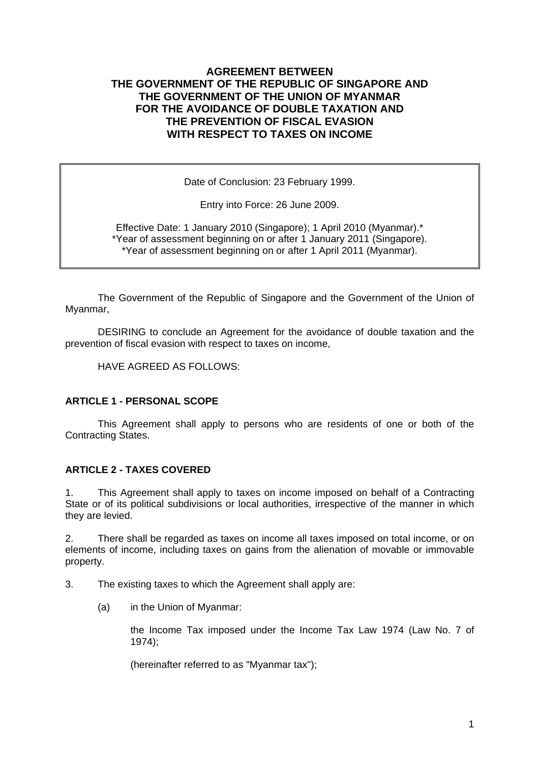## **AGREEMENT BETWEEN THE GOVERNMENT OF THE REPUBLIC OF SINGAPORE AND THE GOVERNMENT OF THE UNION OF MYANMAR FOR THE AVOIDANCE OF DOUBLE TAXATION AND THE PREVENTION OF FISCAL EVASION WITH RESPECT TO TAXES ON INCOME**

Date of Conclusion: 23 February 1999.

Entry into Force: 26 June 2009.

Effective Date: 1 January 2010 (Singapore); 1 April 2010 (Myanmar).\* \*Year of assessment beginning on or after 1 January 2011 (Singapore). \*Year of assessment beginning on or after 1 April 2011 (Myanmar).

 The Government of the Republic of Singapore and the Government of the Union of Myanmar,

 DESIRING to conclude an Agreement for the avoidance of double taxation and the prevention of fiscal evasion with respect to taxes on income,

HAVE AGREED AS FOLLOWS:

### **ARTICLE 1 - PERSONAL SCOPE**

This Agreement shall apply to persons who are residents of one or both of the Contracting States.

### **ARTICLE 2 - TAXES COVERED**

1. This Agreement shall apply to taxes on income imposed on behalf of a Contracting State or of its political subdivisions or local authorities, irrespective of the manner in which they are levied.

2. There shall be regarded as taxes on income all taxes imposed on total income, or on elements of income, including taxes on gains from the alienation of movable or immovable property.

3. The existing taxes to which the Agreement shall apply are:

(a) in the Union of Myanmar:

the Income Tax imposed under the Income Tax Law 1974 (Law No. 7 of 1974);

(hereinafter referred to as "Myanmar tax");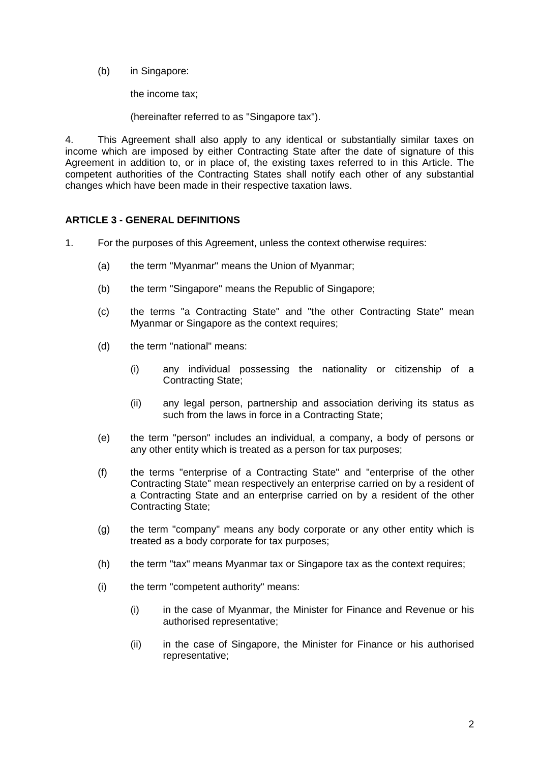(b) in Singapore:

the income tax;

(hereinafter referred to as "Singapore tax").

4. This Agreement shall also apply to any identical or substantially similar taxes on income which are imposed by either Contracting State after the date of signature of this Agreement in addition to, or in place of, the existing taxes referred to in this Article. The competent authorities of the Contracting States shall notify each other of any substantial changes which have been made in their respective taxation laws.

### **ARTICLE 3 - GENERAL DEFINITIONS**

- 1. For the purposes of this Agreement, unless the context otherwise requires:
	- (a) the term "Myanmar" means the Union of Myanmar;
	- (b) the term "Singapore" means the Republic of Singapore;
	- (c) the terms "a Contracting State" and "the other Contracting State" mean Myanmar or Singapore as the context requires;
	- (d) the term "national" means:
		- (i) any individual possessing the nationality or citizenship of a Contracting State;
		- (ii) any legal person, partnership and association deriving its status as such from the laws in force in a Contracting State;
	- (e) the term "person" includes an individual, a company, a body of persons or any other entity which is treated as a person for tax purposes;
	- (f) the terms "enterprise of a Contracting State" and "enterprise of the other Contracting State" mean respectively an enterprise carried on by a resident of a Contracting State and an enterprise carried on by a resident of the other Contracting State;
	- (g) the term "company" means any body corporate or any other entity which is treated as a body corporate for tax purposes;
	- (h) the term "tax" means Myanmar tax or Singapore tax as the context requires;
	- $(i)$  the term "competent authority" means:
		- (i) in the case of Myanmar, the Minister for Finance and Revenue or his authorised representative;
		- (ii) in the case of Singapore, the Minister for Finance or his authorised representative;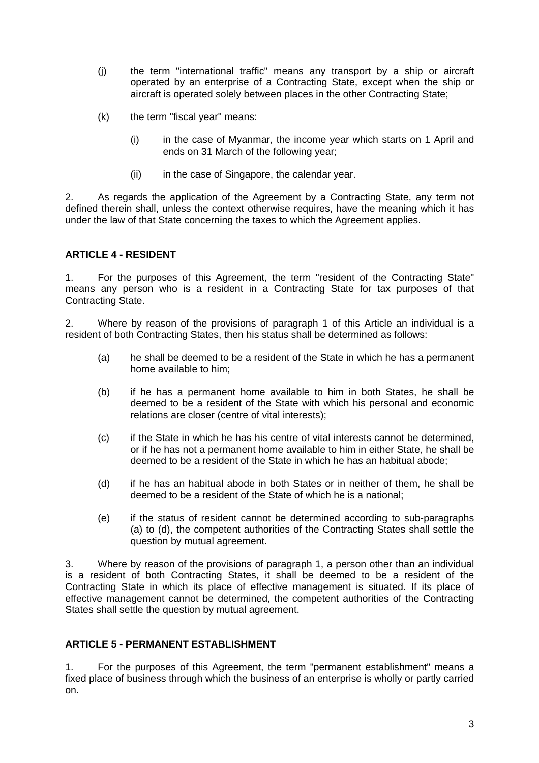- (j) the term "international traffic" means any transport by a ship or aircraft operated by an enterprise of a Contracting State, except when the ship or aircraft is operated solely between places in the other Contracting State;
- (k) the term "fiscal year" means:
	- (i) in the case of Myanmar, the income year which starts on 1 April and ends on 31 March of the following year;
	- (ii) in the case of Singapore, the calendar year.

2. As regards the application of the Agreement by a Contracting State, any term not defined therein shall, unless the context otherwise requires, have the meaning which it has under the law of that State concerning the taxes to which the Agreement applies.

## **ARTICLE 4 - RESIDENT**

1. For the purposes of this Agreement, the term "resident of the Contracting State" means any person who is a resident in a Contracting State for tax purposes of that Contracting State.

2. Where by reason of the provisions of paragraph 1 of this Article an individual is a resident of both Contracting States, then his status shall be determined as follows:

- (a) he shall be deemed to be a resident of the State in which he has a permanent home available to him;
- (b) if he has a permanent home available to him in both States, he shall be deemed to be a resident of the State with which his personal and economic relations are closer (centre of vital interests);
- (c) if the State in which he has his centre of vital interests cannot be determined, or if he has not a permanent home available to him in either State, he shall be deemed to be a resident of the State in which he has an habitual abode;
- (d) if he has an habitual abode in both States or in neither of them, he shall be deemed to be a resident of the State of which he is a national;
- (e) if the status of resident cannot be determined according to sub-paragraphs (a) to (d), the competent authorities of the Contracting States shall settle the question by mutual agreement.

3. Where by reason of the provisions of paragraph 1, a person other than an individual is a resident of both Contracting States, it shall be deemed to be a resident of the Contracting State in which its place of effective management is situated. If its place of effective management cannot be determined, the competent authorities of the Contracting States shall settle the question by mutual agreement.

## **ARTICLE 5 - PERMANENT ESTABLISHMENT**

1. For the purposes of this Agreement, the term "permanent establishment" means a fixed place of business through which the business of an enterprise is wholly or partly carried on.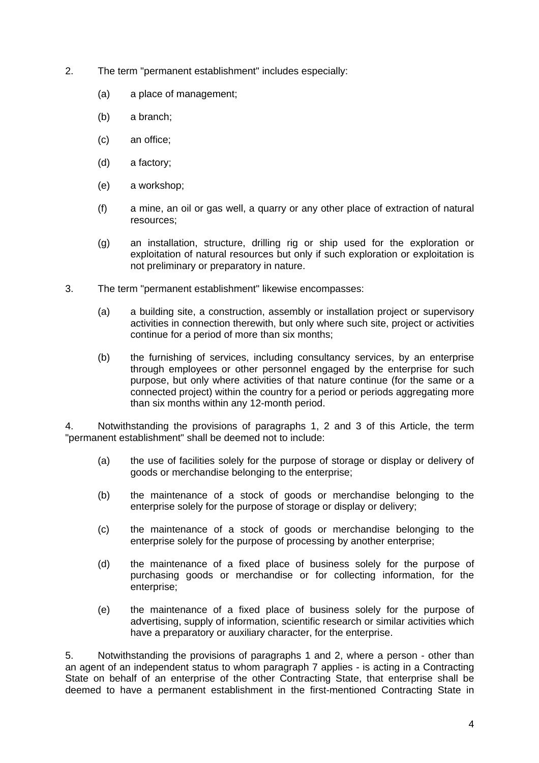- 2. The term "permanent establishment" includes especially:
	- (a) a place of management;
	- (b) a branch;
	- (c) an office;
	- (d) a factory;
	- (e) a workshop;
	- (f) a mine, an oil or gas well, a quarry or any other place of extraction of natural resources;
	- (g) an installation, structure, drilling rig or ship used for the exploration or exploitation of natural resources but only if such exploration or exploitation is not preliminary or preparatory in nature.
- 3. The term "permanent establishment" likewise encompasses:
	- (a) a building site, a construction, assembly or installation project or supervisory activities in connection therewith, but only where such site, project or activities continue for a period of more than six months;
	- (b) the furnishing of services, including consultancy services, by an enterprise through employees or other personnel engaged by the enterprise for such purpose, but only where activities of that nature continue (for the same or a connected project) within the country for a period or periods aggregating more than six months within any 12-month period.

4. Notwithstanding the provisions of paragraphs 1, 2 and 3 of this Article, the term "permanent establishment" shall be deemed not to include:

- (a) the use of facilities solely for the purpose of storage or display or delivery of goods or merchandise belonging to the enterprise;
- (b) the maintenance of a stock of goods or merchandise belonging to the enterprise solely for the purpose of storage or display or delivery;
- (c) the maintenance of a stock of goods or merchandise belonging to the enterprise solely for the purpose of processing by another enterprise;
- (d) the maintenance of a fixed place of business solely for the purpose of purchasing goods or merchandise or for collecting information, for the enterprise;
- (e) the maintenance of a fixed place of business solely for the purpose of advertising, supply of information, scientific research or similar activities which have a preparatory or auxiliary character, for the enterprise.

5. Notwithstanding the provisions of paragraphs 1 and 2, where a person - other than an agent of an independent status to whom paragraph 7 applies - is acting in a Contracting State on behalf of an enterprise of the other Contracting State, that enterprise shall be deemed to have a permanent establishment in the first-mentioned Contracting State in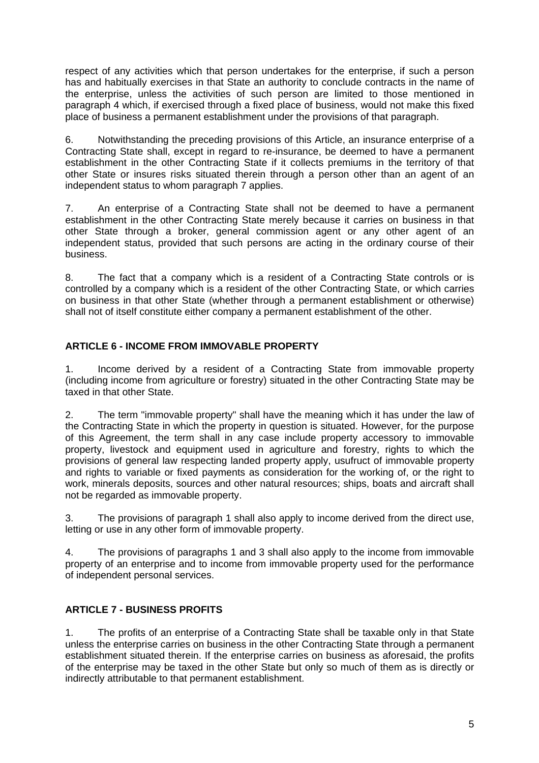respect of any activities which that person undertakes for the enterprise, if such a person has and habitually exercises in that State an authority to conclude contracts in the name of the enterprise, unless the activities of such person are limited to those mentioned in paragraph 4 which, if exercised through a fixed place of business, would not make this fixed place of business a permanent establishment under the provisions of that paragraph.

6. Notwithstanding the preceding provisions of this Article, an insurance enterprise of a Contracting State shall, except in regard to re-insurance, be deemed to have a permanent establishment in the other Contracting State if it collects premiums in the territory of that other State or insures risks situated therein through a person other than an agent of an independent status to whom paragraph 7 applies.

7. An enterprise of a Contracting State shall not be deemed to have a permanent establishment in the other Contracting State merely because it carries on business in that other State through a broker, general commission agent or any other agent of an independent status, provided that such persons are acting in the ordinary course of their business.

8. The fact that a company which is a resident of a Contracting State controls or is controlled by a company which is a resident of the other Contracting State, or which carries on business in that other State (whether through a permanent establishment or otherwise) shall not of itself constitute either company a permanent establishment of the other.

## **ARTICLE 6 - INCOME FROM IMMOVABLE PROPERTY**

1. Income derived by a resident of a Contracting State from immovable property (including income from agriculture or forestry) situated in the other Contracting State may be taxed in that other State.

2. The term "immovable property" shall have the meaning which it has under the law of the Contracting State in which the property in question is situated. However, for the purpose of this Agreement, the term shall in any case include property accessory to immovable property, livestock and equipment used in agriculture and forestry, rights to which the provisions of general law respecting landed property apply, usufruct of immovable property and rights to variable or fixed payments as consideration for the working of, or the right to work, minerals deposits, sources and other natural resources; ships, boats and aircraft shall not be regarded as immovable property.

3. The provisions of paragraph 1 shall also apply to income derived from the direct use, letting or use in any other form of immovable property.

4. The provisions of paragraphs 1 and 3 shall also apply to the income from immovable property of an enterprise and to income from immovable property used for the performance of independent personal services.

# **ARTICLE 7 - BUSINESS PROFITS**

1. The profits of an enterprise of a Contracting State shall be taxable only in that State unless the enterprise carries on business in the other Contracting State through a permanent establishment situated therein. If the enterprise carries on business as aforesaid, the profits of the enterprise may be taxed in the other State but only so much of them as is directly or indirectly attributable to that permanent establishment.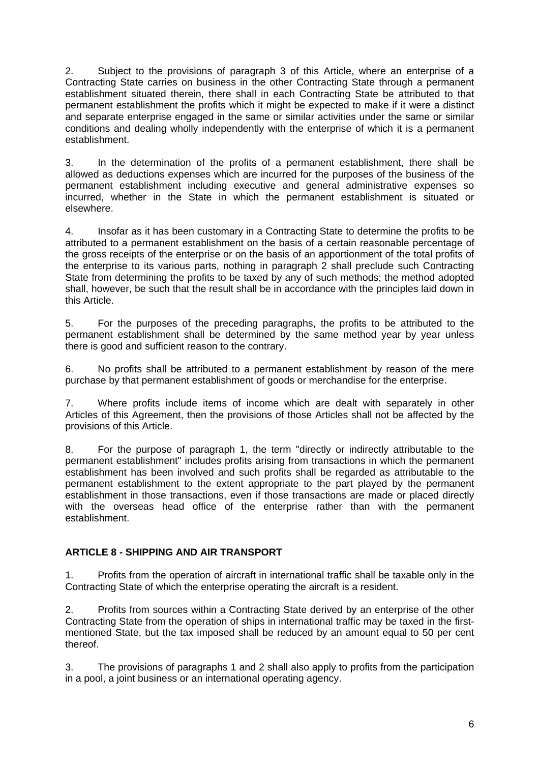2. Subject to the provisions of paragraph 3 of this Article, where an enterprise of a Contracting State carries on business in the other Contracting State through a permanent establishment situated therein, there shall in each Contracting State be attributed to that permanent establishment the profits which it might be expected to make if it were a distinct and separate enterprise engaged in the same or similar activities under the same or similar conditions and dealing wholly independently with the enterprise of which it is a permanent establishment.

3. In the determination of the profits of a permanent establishment, there shall be allowed as deductions expenses which are incurred for the purposes of the business of the permanent establishment including executive and general administrative expenses so incurred, whether in the State in which the permanent establishment is situated or elsewhere.

4. Insofar as it has been customary in a Contracting State to determine the profits to be attributed to a permanent establishment on the basis of a certain reasonable percentage of the gross receipts of the enterprise or on the basis of an apportionment of the total profits of the enterprise to its various parts, nothing in paragraph 2 shall preclude such Contracting State from determining the profits to be taxed by any of such methods; the method adopted shall, however, be such that the result shall be in accordance with the principles laid down in this Article.

5. For the purposes of the preceding paragraphs, the profits to be attributed to the permanent establishment shall be determined by the same method year by year unless there is good and sufficient reason to the contrary.

6. No profits shall be attributed to a permanent establishment by reason of the mere purchase by that permanent establishment of goods or merchandise for the enterprise.

7. Where profits include items of income which are dealt with separately in other Articles of this Agreement, then the provisions of those Articles shall not be affected by the provisions of this Article.

8. For the purpose of paragraph 1, the term "directly or indirectly attributable to the permanent establishment" includes profits arising from transactions in which the permanent establishment has been involved and such profits shall be regarded as attributable to the permanent establishment to the extent appropriate to the part played by the permanent establishment in those transactions, even if those transactions are made or placed directly with the overseas head office of the enterprise rather than with the permanent establishment.

## **ARTICLE 8 - SHIPPING AND AIR TRANSPORT**

1. Profits from the operation of aircraft in international traffic shall be taxable only in the Contracting State of which the enterprise operating the aircraft is a resident.

2. Profits from sources within a Contracting State derived by an enterprise of the other Contracting State from the operation of ships in international traffic may be taxed in the firstmentioned State, but the tax imposed shall be reduced by an amount equal to 50 per cent thereof.

3. The provisions of paragraphs 1 and 2 shall also apply to profits from the participation in a pool, a joint business or an international operating agency.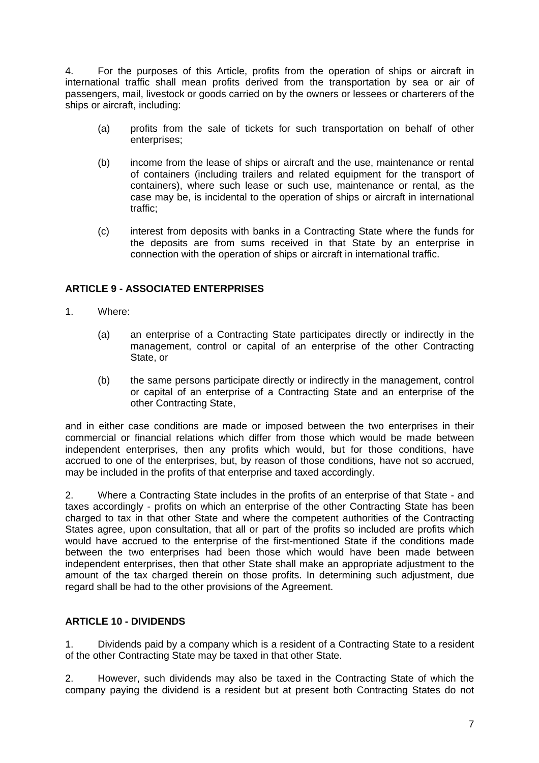4. For the purposes of this Article, profits from the operation of ships or aircraft in international traffic shall mean profits derived from the transportation by sea or air of passengers, mail, livestock or goods carried on by the owners or lessees or charterers of the ships or aircraft, including:

- (a) profits from the sale of tickets for such transportation on behalf of other enterprises;
- (b) income from the lease of ships or aircraft and the use, maintenance or rental of containers (including trailers and related equipment for the transport of containers), where such lease or such use, maintenance or rental, as the case may be, is incidental to the operation of ships or aircraft in international traffic;
- (c) interest from deposits with banks in a Contracting State where the funds for the deposits are from sums received in that State by an enterprise in connection with the operation of ships or aircraft in international traffic.

## **ARTICLE 9 - ASSOCIATED ENTERPRISES**

- 1. Where:
	- (a) an enterprise of a Contracting State participates directly or indirectly in the management, control or capital of an enterprise of the other Contracting State, or
	- (b) the same persons participate directly or indirectly in the management, control or capital of an enterprise of a Contracting State and an enterprise of the other Contracting State,

and in either case conditions are made or imposed between the two enterprises in their commercial or financial relations which differ from those which would be made between independent enterprises, then any profits which would, but for those conditions, have accrued to one of the enterprises, but, by reason of those conditions, have not so accrued, may be included in the profits of that enterprise and taxed accordingly.

2. Where a Contracting State includes in the profits of an enterprise of that State - and taxes accordingly - profits on which an enterprise of the other Contracting State has been charged to tax in that other State and where the competent authorities of the Contracting States agree, upon consultation, that all or part of the profits so included are profits which would have accrued to the enterprise of the first-mentioned State if the conditions made between the two enterprises had been those which would have been made between independent enterprises, then that other State shall make an appropriate adjustment to the amount of the tax charged therein on those profits. In determining such adjustment, due regard shall be had to the other provisions of the Agreement.

## **ARTICLE 10 - DIVIDENDS**

1. Dividends paid by a company which is a resident of a Contracting State to a resident of the other Contracting State may be taxed in that other State.

2. However, such dividends may also be taxed in the Contracting State of which the company paying the dividend is a resident but at present both Contracting States do not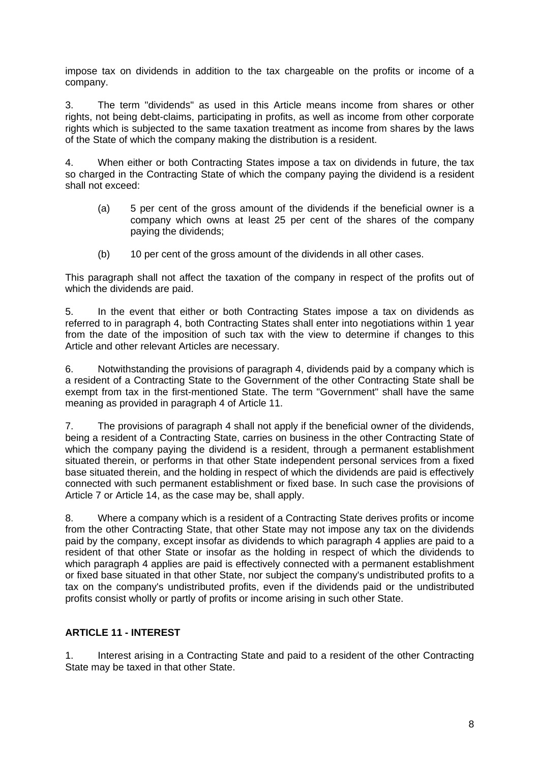impose tax on dividends in addition to the tax chargeable on the profits or income of a company.

3. The term "dividends" as used in this Article means income from shares or other rights, not being debt-claims, participating in profits, as well as income from other corporate rights which is subjected to the same taxation treatment as income from shares by the laws of the State of which the company making the distribution is a resident.

4. When either or both Contracting States impose a tax on dividends in future, the tax so charged in the Contracting State of which the company paying the dividend is a resident shall not exceed:

- (a) 5 per cent of the gross amount of the dividends if the beneficial owner is a company which owns at least 25 per cent of the shares of the company paying the dividends;
- (b) 10 per cent of the gross amount of the dividends in all other cases.

This paragraph shall not affect the taxation of the company in respect of the profits out of which the dividends are paid.

5. In the event that either or both Contracting States impose a tax on dividends as referred to in paragraph 4, both Contracting States shall enter into negotiations within 1 year from the date of the imposition of such tax with the view to determine if changes to this Article and other relevant Articles are necessary.

6. Notwithstanding the provisions of paragraph 4, dividends paid by a company which is a resident of a Contracting State to the Government of the other Contracting State shall be exempt from tax in the first-mentioned State. The term "Government" shall have the same meaning as provided in paragraph 4 of Article 11.

7. The provisions of paragraph 4 shall not apply if the beneficial owner of the dividends, being a resident of a Contracting State, carries on business in the other Contracting State of which the company paying the dividend is a resident, through a permanent establishment situated therein, or performs in that other State independent personal services from a fixed base situated therein, and the holding in respect of which the dividends are paid is effectively connected with such permanent establishment or fixed base. In such case the provisions of Article 7 or Article 14, as the case may be, shall apply.

8. Where a company which is a resident of a Contracting State derives profits or income from the other Contracting State, that other State may not impose any tax on the dividends paid by the company, except insofar as dividends to which paragraph 4 applies are paid to a resident of that other State or insofar as the holding in respect of which the dividends to which paragraph 4 applies are paid is effectively connected with a permanent establishment or fixed base situated in that other State, nor subject the company's undistributed profits to a tax on the company's undistributed profits, even if the dividends paid or the undistributed profits consist wholly or partly of profits or income arising in such other State.

## **ARTICLE 11 - INTEREST**

1. Interest arising in a Contracting State and paid to a resident of the other Contracting State may be taxed in that other State.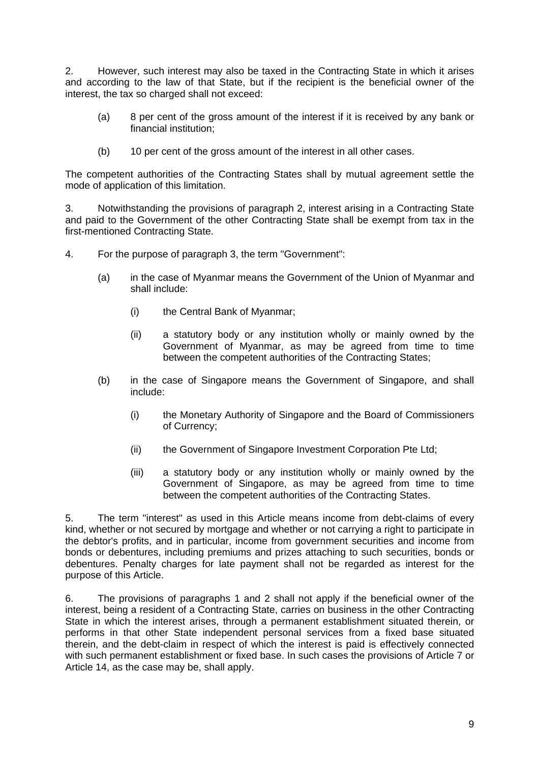2. However, such interest may also be taxed in the Contracting State in which it arises and according to the law of that State, but if the recipient is the beneficial owner of the interest, the tax so charged shall not exceed:

- (a) 8 per cent of the gross amount of the interest if it is received by any bank or financial institution;
- (b) 10 per cent of the gross amount of the interest in all other cases.

The competent authorities of the Contracting States shall by mutual agreement settle the mode of application of this limitation.

3. Notwithstanding the provisions of paragraph 2, interest arising in a Contracting State and paid to the Government of the other Contracting State shall be exempt from tax in the first-mentioned Contracting State.

- 4. For the purpose of paragraph 3, the term "Government":
	- (a) in the case of Myanmar means the Government of the Union of Myanmar and shall include:
		- (i) the Central Bank of Myanmar;
		- (ii) a statutory body or any institution wholly or mainly owned by the Government of Myanmar, as may be agreed from time to time between the competent authorities of the Contracting States;
	- (b) in the case of Singapore means the Government of Singapore, and shall include:
		- (i) the Monetary Authority of Singapore and the Board of Commissioners of Currency;
		- (ii) the Government of Singapore Investment Corporation Pte Ltd;
		- (iii) a statutory body or any institution wholly or mainly owned by the Government of Singapore, as may be agreed from time to time between the competent authorities of the Contracting States.

5. The term "interest" as used in this Article means income from debt-claims of every kind, whether or not secured by mortgage and whether or not carrying a right to participate in the debtor's profits, and in particular, income from government securities and income from bonds or debentures, including premiums and prizes attaching to such securities, bonds or debentures. Penalty charges for late payment shall not be regarded as interest for the purpose of this Article.

6. The provisions of paragraphs 1 and 2 shall not apply if the beneficial owner of the interest, being a resident of a Contracting State, carries on business in the other Contracting State in which the interest arises, through a permanent establishment situated therein, or performs in that other State independent personal services from a fixed base situated therein, and the debt-claim in respect of which the interest is paid is effectively connected with such permanent establishment or fixed base. In such cases the provisions of Article 7 or Article 14, as the case may be, shall apply.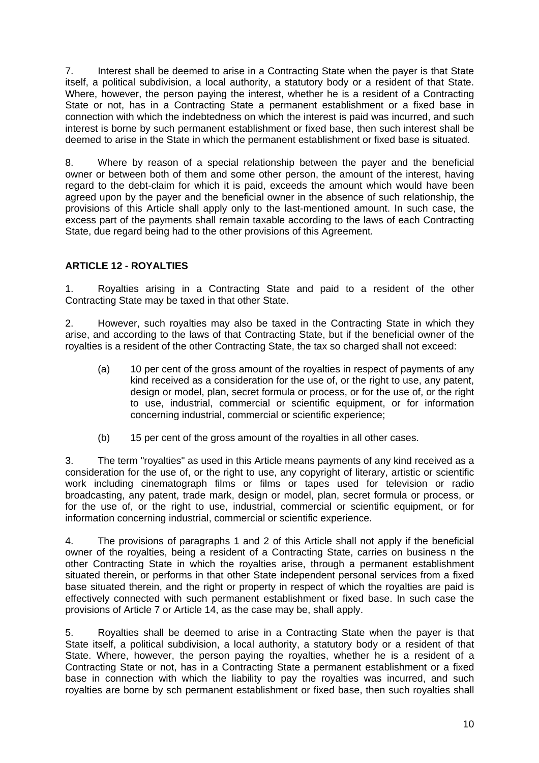7. Interest shall be deemed to arise in a Contracting State when the payer is that State itself, a political subdivision, a local authority, a statutory body or a resident of that State. Where, however, the person paying the interest, whether he is a resident of a Contracting State or not, has in a Contracting State a permanent establishment or a fixed base in connection with which the indebtedness on which the interest is paid was incurred, and such interest is borne by such permanent establishment or fixed base, then such interest shall be deemed to arise in the State in which the permanent establishment or fixed base is situated.

8. Where by reason of a special relationship between the payer and the beneficial owner or between both of them and some other person, the amount of the interest, having regard to the debt-claim for which it is paid, exceeds the amount which would have been agreed upon by the payer and the beneficial owner in the absence of such relationship, the provisions of this Article shall apply only to the last-mentioned amount. In such case, the excess part of the payments shall remain taxable according to the laws of each Contracting State, due regard being had to the other provisions of this Agreement.

## **ARTICLE 12 - ROYALTIES**

1. Royalties arising in a Contracting State and paid to a resident of the other Contracting State may be taxed in that other State.

2. However, such royalties may also be taxed in the Contracting State in which they arise, and according to the laws of that Contracting State, but if the beneficial owner of the royalties is a resident of the other Contracting State, the tax so charged shall not exceed:

- (a) 10 per cent of the gross amount of the royalties in respect of payments of any kind received as a consideration for the use of, or the right to use, any patent, design or model, plan, secret formula or process, or for the use of, or the right to use, industrial, commercial or scientific equipment, or for information concerning industrial, commercial or scientific experience;
- (b) 15 per cent of the gross amount of the royalties in all other cases.

3. The term "royalties" as used in this Article means payments of any kind received as a consideration for the use of, or the right to use, any copyright of literary, artistic or scientific work including cinematograph films or films or tapes used for television or radio broadcasting, any patent, trade mark, design or model, plan, secret formula or process, or for the use of, or the right to use, industrial, commercial or scientific equipment, or for information concerning industrial, commercial or scientific experience.

4. The provisions of paragraphs 1 and 2 of this Article shall not apply if the beneficial owner of the royalties, being a resident of a Contracting State, carries on business n the other Contracting State in which the royalties arise, through a permanent establishment situated therein, or performs in that other State independent personal services from a fixed base situated therein, and the right or property in respect of which the royalties are paid is effectively connected with such permanent establishment or fixed base. In such case the provisions of Article 7 or Article 14, as the case may be, shall apply.

5. Royalties shall be deemed to arise in a Contracting State when the payer is that State itself, a political subdivision, a local authority, a statutory body or a resident of that State. Where, however, the person paying the royalties, whether he is a resident of a Contracting State or not, has in a Contracting State a permanent establishment or a fixed base in connection with which the liability to pay the royalties was incurred, and such royalties are borne by sch permanent establishment or fixed base, then such royalties shall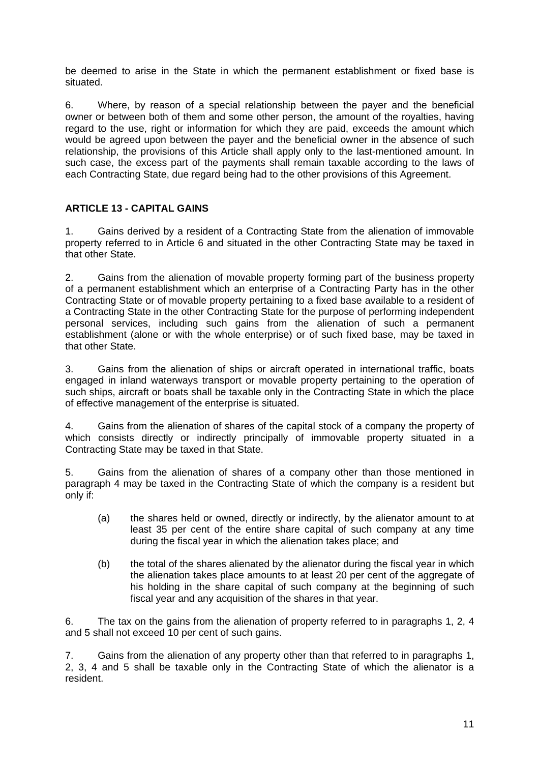be deemed to arise in the State in which the permanent establishment or fixed base is situated.

6. Where, by reason of a special relationship between the payer and the beneficial owner or between both of them and some other person, the amount of the royalties, having regard to the use, right or information for which they are paid, exceeds the amount which would be agreed upon between the payer and the beneficial owner in the absence of such relationship, the provisions of this Article shall apply only to the last-mentioned amount. In such case, the excess part of the payments shall remain taxable according to the laws of each Contracting State, due regard being had to the other provisions of this Agreement.

## **ARTICLE 13 - CAPITAL GAINS**

1. Gains derived by a resident of a Contracting State from the alienation of immovable property referred to in Article 6 and situated in the other Contracting State may be taxed in that other State.

2. Gains from the alienation of movable property forming part of the business property of a permanent establishment which an enterprise of a Contracting Party has in the other Contracting State or of movable property pertaining to a fixed base available to a resident of a Contracting State in the other Contracting State for the purpose of performing independent personal services, including such gains from the alienation of such a permanent establishment (alone or with the whole enterprise) or of such fixed base, may be taxed in that other State.

3. Gains from the alienation of ships or aircraft operated in international traffic, boats engaged in inland waterways transport or movable property pertaining to the operation of such ships, aircraft or boats shall be taxable only in the Contracting State in which the place of effective management of the enterprise is situated.

4. Gains from the alienation of shares of the capital stock of a company the property of which consists directly or indirectly principally of immovable property situated in a Contracting State may be taxed in that State.

5. Gains from the alienation of shares of a company other than those mentioned in paragraph 4 may be taxed in the Contracting State of which the company is a resident but only if:

- (a) the shares held or owned, directly or indirectly, by the alienator amount to at least 35 per cent of the entire share capital of such company at any time during the fiscal year in which the alienation takes place; and
- (b) the total of the shares alienated by the alienator during the fiscal year in which the alienation takes place amounts to at least 20 per cent of the aggregate of his holding in the share capital of such company at the beginning of such fiscal year and any acquisition of the shares in that year.

6. The tax on the gains from the alienation of property referred to in paragraphs 1, 2, 4 and 5 shall not exceed 10 per cent of such gains.

7. Gains from the alienation of any property other than that referred to in paragraphs 1, 2, 3, 4 and 5 shall be taxable only in the Contracting State of which the alienator is a resident.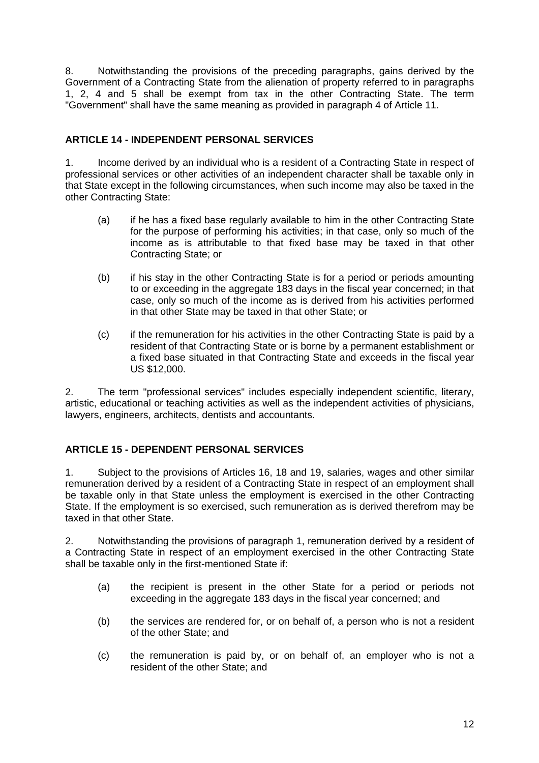8. Notwithstanding the provisions of the preceding paragraphs, gains derived by the Government of a Contracting State from the alienation of property referred to in paragraphs 1, 2, 4 and 5 shall be exempt from tax in the other Contracting State. The term "Government" shall have the same meaning as provided in paragraph 4 of Article 11.

## **ARTICLE 14 - INDEPENDENT PERSONAL SERVICES**

1. Income derived by an individual who is a resident of a Contracting State in respect of professional services or other activities of an independent character shall be taxable only in that State except in the following circumstances, when such income may also be taxed in the other Contracting State:

- (a) if he has a fixed base regularly available to him in the other Contracting State for the purpose of performing his activities; in that case, only so much of the income as is attributable to that fixed base may be taxed in that other Contracting State; or
- (b) if his stay in the other Contracting State is for a period or periods amounting to or exceeding in the aggregate 183 days in the fiscal year concerned; in that case, only so much of the income as is derived from his activities performed in that other State may be taxed in that other State; or
- (c) if the remuneration for his activities in the other Contracting State is paid by a resident of that Contracting State or is borne by a permanent establishment or a fixed base situated in that Contracting State and exceeds in the fiscal year US \$12,000.

2. The term "professional services" includes especially independent scientific, literary, artistic, educational or teaching activities as well as the independent activities of physicians, lawyers, engineers, architects, dentists and accountants.

## **ARTICLE 15 - DEPENDENT PERSONAL SERVICES**

1. Subject to the provisions of Articles 16, 18 and 19, salaries, wages and other similar remuneration derived by a resident of a Contracting State in respect of an employment shall be taxable only in that State unless the employment is exercised in the other Contracting State. If the employment is so exercised, such remuneration as is derived therefrom may be taxed in that other State.

2. Notwithstanding the provisions of paragraph 1, remuneration derived by a resident of a Contracting State in respect of an employment exercised in the other Contracting State shall be taxable only in the first-mentioned State if:

- (a) the recipient is present in the other State for a period or periods not exceeding in the aggregate 183 days in the fiscal year concerned; and
- (b) the services are rendered for, or on behalf of, a person who is not a resident of the other State; and
- (c) the remuneration is paid by, or on behalf of, an employer who is not a resident of the other State; and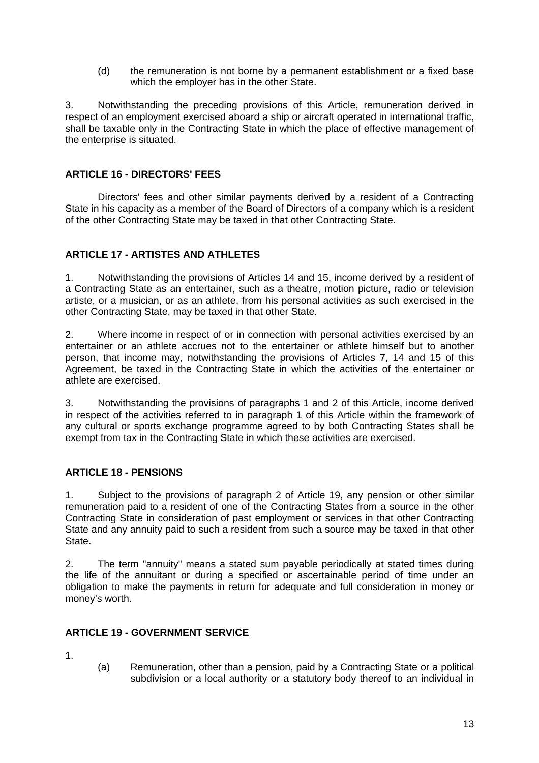(d) the remuneration is not borne by a permanent establishment or a fixed base which the employer has in the other State.

3. Notwithstanding the preceding provisions of this Article, remuneration derived in respect of an employment exercised aboard a ship or aircraft operated in international traffic, shall be taxable only in the Contracting State in which the place of effective management of the enterprise is situated.

### **ARTICLE 16 - DIRECTORS' FEES**

Directors' fees and other similar payments derived by a resident of a Contracting State in his capacity as a member of the Board of Directors of a company which is a resident of the other Contracting State may be taxed in that other Contracting State.

### **ARTICLE 17 - ARTISTES AND ATHLETES**

1. Notwithstanding the provisions of Articles 14 and 15, income derived by a resident of a Contracting State as an entertainer, such as a theatre, motion picture, radio or television artiste, or a musician, or as an athlete, from his personal activities as such exercised in the other Contracting State, may be taxed in that other State.

2. Where income in respect of or in connection with personal activities exercised by an entertainer or an athlete accrues not to the entertainer or athlete himself but to another person, that income may, notwithstanding the provisions of Articles 7, 14 and 15 of this Agreement, be taxed in the Contracting State in which the activities of the entertainer or athlete are exercised.

3. Notwithstanding the provisions of paragraphs 1 and 2 of this Article, income derived in respect of the activities referred to in paragraph 1 of this Article within the framework of any cultural or sports exchange programme agreed to by both Contracting States shall be exempt from tax in the Contracting State in which these activities are exercised.

## **ARTICLE 18 - PENSIONS**

1. Subject to the provisions of paragraph 2 of Article 19, any pension or other similar remuneration paid to a resident of one of the Contracting States from a source in the other Contracting State in consideration of past employment or services in that other Contracting State and any annuity paid to such a resident from such a source may be taxed in that other State.

2. The term "annuity" means a stated sum payable periodically at stated times during the life of the annuitant or during a specified or ascertainable period of time under an obligation to make the payments in return for adequate and full consideration in money or money's worth.

### **ARTICLE 19 - GOVERNMENT SERVICE**

1.

(a) Remuneration, other than a pension, paid by a Contracting State or a political subdivision or a local authority or a statutory body thereof to an individual in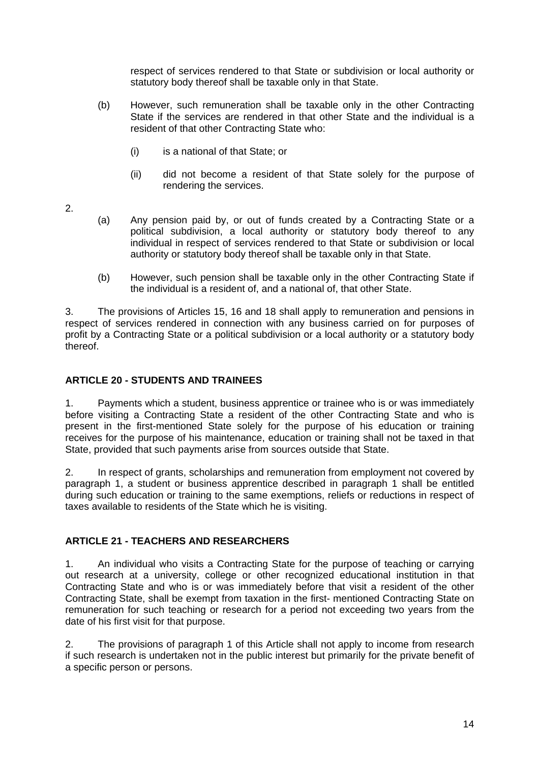respect of services rendered to that State or subdivision or local authority or statutory body thereof shall be taxable only in that State.

- (b) However, such remuneration shall be taxable only in the other Contracting State if the services are rendered in that other State and the individual is a resident of that other Contracting State who:
	- (i) is a national of that State; or
	- (ii) did not become a resident of that State solely for the purpose of rendering the services.
- 2.
- (a) Any pension paid by, or out of funds created by a Contracting State or a political subdivision, a local authority or statutory body thereof to any individual in respect of services rendered to that State or subdivision or local authority or statutory body thereof shall be taxable only in that State.
- (b) However, such pension shall be taxable only in the other Contracting State if the individual is a resident of, and a national of, that other State.

3. The provisions of Articles 15, 16 and 18 shall apply to remuneration and pensions in respect of services rendered in connection with any business carried on for purposes of profit by a Contracting State or a political subdivision or a local authority or a statutory body thereof.

### **ARTICLE 20 - STUDENTS AND TRAINEES**

1. Payments which a student, business apprentice or trainee who is or was immediately before visiting a Contracting State a resident of the other Contracting State and who is present in the first-mentioned State solely for the purpose of his education or training receives for the purpose of his maintenance, education or training shall not be taxed in that State, provided that such payments arise from sources outside that State.

2. In respect of grants, scholarships and remuneration from employment not covered by paragraph 1, a student or business apprentice described in paragraph 1 shall be entitled during such education or training to the same exemptions, reliefs or reductions in respect of taxes available to residents of the State which he is visiting.

## **ARTICLE 21 - TEACHERS AND RESEARCHERS**

1. An individual who visits a Contracting State for the purpose of teaching or carrying out research at a university, college or other recognized educational institution in that Contracting State and who is or was immediately before that visit a resident of the other Contracting State, shall be exempt from taxation in the first- mentioned Contracting State on remuneration for such teaching or research for a period not exceeding two years from the date of his first visit for that purpose.

2. The provisions of paragraph 1 of this Article shall not apply to income from research if such research is undertaken not in the public interest but primarily for the private benefit of a specific person or persons.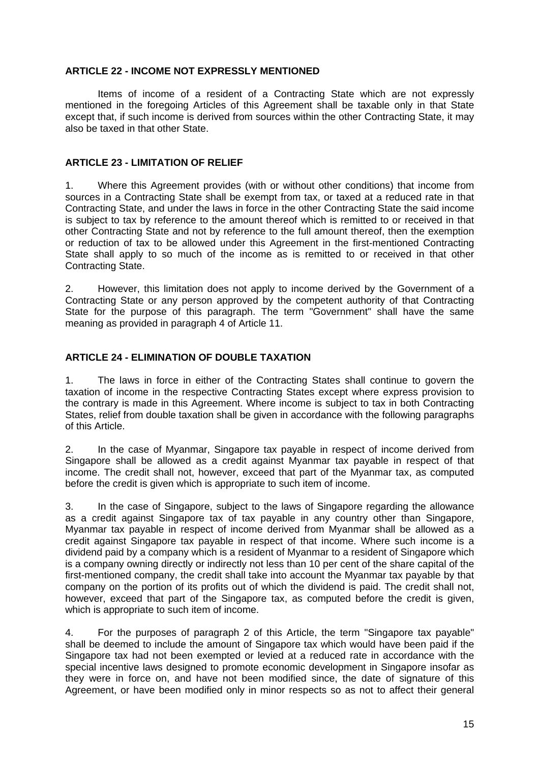#### **ARTICLE 22 - INCOME NOT EXPRESSLY MENTIONED**

Items of income of a resident of a Contracting State which are not expressly mentioned in the foregoing Articles of this Agreement shall be taxable only in that State except that, if such income is derived from sources within the other Contracting State, it may also be taxed in that other State.

#### **ARTICLE 23 - LIMITATION OF RELIEF**

1. Where this Agreement provides (with or without other conditions) that income from sources in a Contracting State shall be exempt from tax, or taxed at a reduced rate in that Contracting State, and under the laws in force in the other Contracting State the said income is subject to tax by reference to the amount thereof which is remitted to or received in that other Contracting State and not by reference to the full amount thereof, then the exemption or reduction of tax to be allowed under this Agreement in the first-mentioned Contracting State shall apply to so much of the income as is remitted to or received in that other Contracting State.

2. However, this limitation does not apply to income derived by the Government of a Contracting State or any person approved by the competent authority of that Contracting State for the purpose of this paragraph. The term "Government" shall have the same meaning as provided in paragraph 4 of Article 11.

### **ARTICLE 24 - ELIMINATION OF DOUBLE TAXATION**

1. The laws in force in either of the Contracting States shall continue to govern the taxation of income in the respective Contracting States except where express provision to the contrary is made in this Agreement. Where income is subject to tax in both Contracting States, relief from double taxation shall be given in accordance with the following paragraphs of this Article.

2. In the case of Myanmar, Singapore tax payable in respect of income derived from Singapore shall be allowed as a credit against Myanmar tax payable in respect of that income. The credit shall not, however, exceed that part of the Myanmar tax, as computed before the credit is given which is appropriate to such item of income.

3. In the case of Singapore, subject to the laws of Singapore regarding the allowance as a credit against Singapore tax of tax payable in any country other than Singapore, Myanmar tax payable in respect of income derived from Myanmar shall be allowed as a credit against Singapore tax payable in respect of that income. Where such income is a dividend paid by a company which is a resident of Myanmar to a resident of Singapore which is a company owning directly or indirectly not less than 10 per cent of the share capital of the first-mentioned company, the credit shall take into account the Myanmar tax payable by that company on the portion of its profits out of which the dividend is paid. The credit shall not, however, exceed that part of the Singapore tax, as computed before the credit is given, which is appropriate to such item of income.

4. For the purposes of paragraph 2 of this Article, the term "Singapore tax payable" shall be deemed to include the amount of Singapore tax which would have been paid if the Singapore tax had not been exempted or levied at a reduced rate in accordance with the special incentive laws designed to promote economic development in Singapore insofar as they were in force on, and have not been modified since, the date of signature of this Agreement, or have been modified only in minor respects so as not to affect their general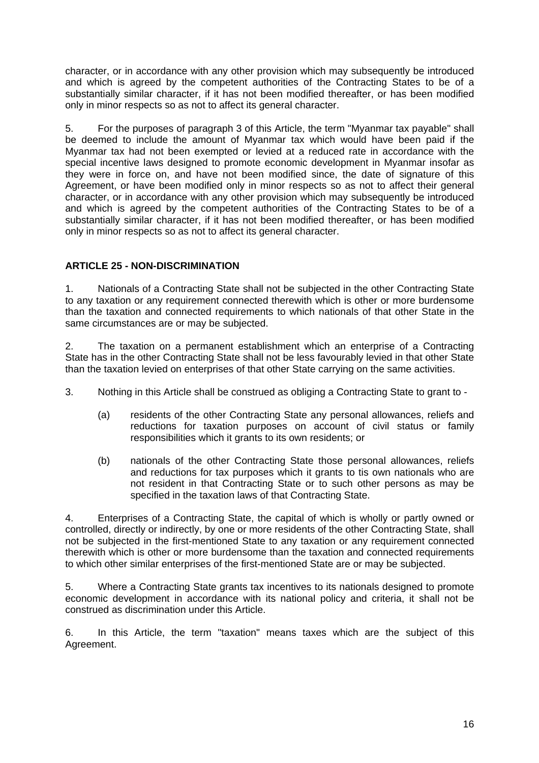character, or in accordance with any other provision which may subsequently be introduced and which is agreed by the competent authorities of the Contracting States to be of a substantially similar character, if it has not been modified thereafter, or has been modified only in minor respects so as not to affect its general character.

5. For the purposes of paragraph 3 of this Article, the term "Myanmar tax payable" shall be deemed to include the amount of Myanmar tax which would have been paid if the Myanmar tax had not been exempted or levied at a reduced rate in accordance with the special incentive laws designed to promote economic development in Myanmar insofar as they were in force on, and have not been modified since, the date of signature of this Agreement, or have been modified only in minor respects so as not to affect their general character, or in accordance with any other provision which may subsequently be introduced and which is agreed by the competent authorities of the Contracting States to be of a substantially similar character, if it has not been modified thereafter, or has been modified only in minor respects so as not to affect its general character.

## **ARTICLE 25 - NON-DISCRIMINATION**

1. Nationals of a Contracting State shall not be subjected in the other Contracting State to any taxation or any requirement connected therewith which is other or more burdensome than the taxation and connected requirements to which nationals of that other State in the same circumstances are or may be subjected.

2. The taxation on a permanent establishment which an enterprise of a Contracting State has in the other Contracting State shall not be less favourably levied in that other State than the taxation levied on enterprises of that other State carrying on the same activities.

- 3. Nothing in this Article shall be construed as obliging a Contracting State to grant to
	- (a) residents of the other Contracting State any personal allowances, reliefs and reductions for taxation purposes on account of civil status or family responsibilities which it grants to its own residents; or
	- (b) nationals of the other Contracting State those personal allowances, reliefs and reductions for tax purposes which it grants to tis own nationals who are not resident in that Contracting State or to such other persons as may be specified in the taxation laws of that Contracting State.

4. Enterprises of a Contracting State, the capital of which is wholly or partly owned or controlled, directly or indirectly, by one or more residents of the other Contracting State, shall not be subjected in the first-mentioned State to any taxation or any requirement connected therewith which is other or more burdensome than the taxation and connected requirements to which other similar enterprises of the first-mentioned State are or may be subjected.

5. Where a Contracting State grants tax incentives to its nationals designed to promote economic development in accordance with its national policy and criteria, it shall not be construed as discrimination under this Article.

6. In this Article, the term "taxation" means taxes which are the subject of this Agreement.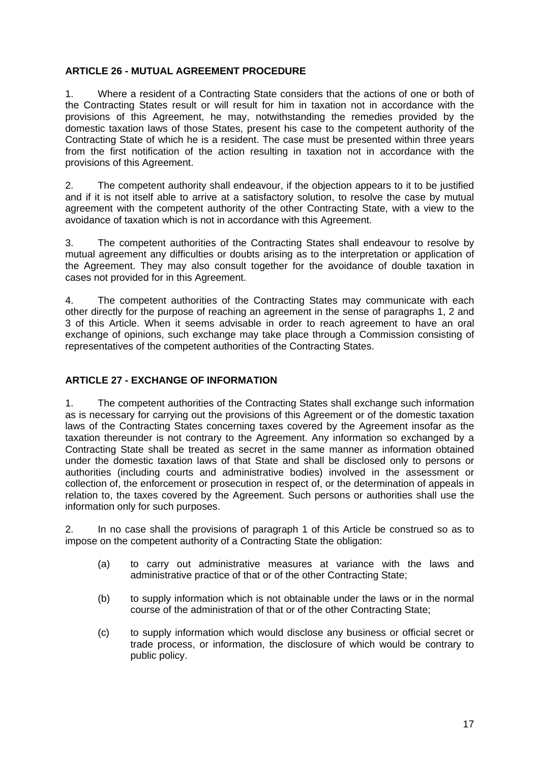### **ARTICLE 26 - MUTUAL AGREEMENT PROCEDURE**

1. Where a resident of a Contracting State considers that the actions of one or both of the Contracting States result or will result for him in taxation not in accordance with the provisions of this Agreement, he may, notwithstanding the remedies provided by the domestic taxation laws of those States, present his case to the competent authority of the Contracting State of which he is a resident. The case must be presented within three years from the first notification of the action resulting in taxation not in accordance with the provisions of this Agreement.

2. The competent authority shall endeavour, if the objection appears to it to be justified and if it is not itself able to arrive at a satisfactory solution, to resolve the case by mutual agreement with the competent authority of the other Contracting State, with a view to the avoidance of taxation which is not in accordance with this Agreement.

3. The competent authorities of the Contracting States shall endeavour to resolve by mutual agreement any difficulties or doubts arising as to the interpretation or application of the Agreement. They may also consult together for the avoidance of double taxation in cases not provided for in this Agreement.

4. The competent authorities of the Contracting States may communicate with each other directly for the purpose of reaching an agreement in the sense of paragraphs 1, 2 and 3 of this Article. When it seems advisable in order to reach agreement to have an oral exchange of opinions, such exchange may take place through a Commission consisting of representatives of the competent authorities of the Contracting States.

### **ARTICLE 27 - EXCHANGE OF INFORMATION**

1. The competent authorities of the Contracting States shall exchange such information as is necessary for carrying out the provisions of this Agreement or of the domestic taxation laws of the Contracting States concerning taxes covered by the Agreement insofar as the taxation thereunder is not contrary to the Agreement. Any information so exchanged by a Contracting State shall be treated as secret in the same manner as information obtained under the domestic taxation laws of that State and shall be disclosed only to persons or authorities (including courts and administrative bodies) involved in the assessment or collection of, the enforcement or prosecution in respect of, or the determination of appeals in relation to, the taxes covered by the Agreement. Such persons or authorities shall use the information only for such purposes.

2. In no case shall the provisions of paragraph 1 of this Article be construed so as to impose on the competent authority of a Contracting State the obligation:

- (a) to carry out administrative measures at variance with the laws and administrative practice of that or of the other Contracting State;
- (b) to supply information which is not obtainable under the laws or in the normal course of the administration of that or of the other Contracting State;
- (c) to supply information which would disclose any business or official secret or trade process, or information, the disclosure of which would be contrary to public policy.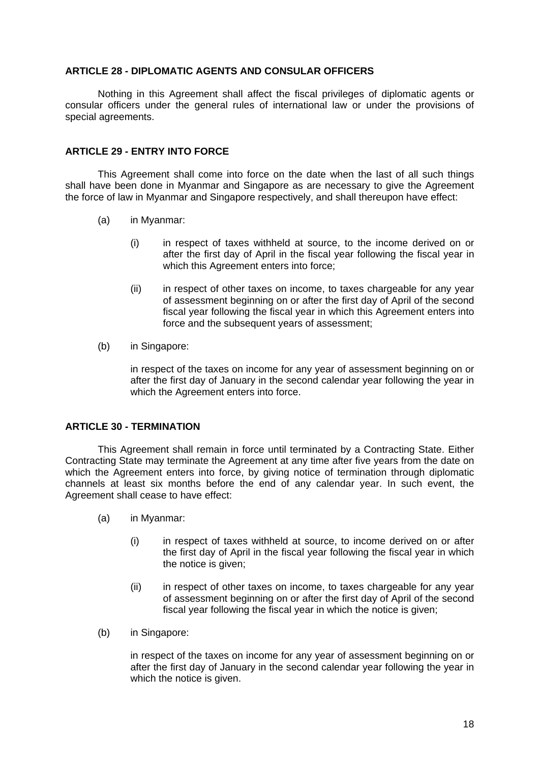#### **ARTICLE 28 - DIPLOMATIC AGENTS AND CONSULAR OFFICERS**

Nothing in this Agreement shall affect the fiscal privileges of diplomatic agents or consular officers under the general rules of international law or under the provisions of special agreements.

#### **ARTICLE 29 - ENTRY INTO FORCE**

This Agreement shall come into force on the date when the last of all such things shall have been done in Myanmar and Singapore as are necessary to give the Agreement the force of law in Myanmar and Singapore respectively, and shall thereupon have effect:

- (a) in Myanmar:
	- (i) in respect of taxes withheld at source, to the income derived on or after the first day of April in the fiscal year following the fiscal year in which this Agreement enters into force;
	- (ii) in respect of other taxes on income, to taxes chargeable for any year of assessment beginning on or after the first day of April of the second fiscal year following the fiscal year in which this Agreement enters into force and the subsequent years of assessment;
- (b) in Singapore:

in respect of the taxes on income for any year of assessment beginning on or after the first day of January in the second calendar year following the year in which the Agreement enters into force.

### **ARTICLE 30 - TERMINATION**

This Agreement shall remain in force until terminated by a Contracting State. Either Contracting State may terminate the Agreement at any time after five years from the date on which the Agreement enters into force, by giving notice of termination through diplomatic channels at least six months before the end of any calendar year. In such event, the Agreement shall cease to have effect:

- (a) in Myanmar:
	- (i) in respect of taxes withheld at source, to income derived on or after the first day of April in the fiscal year following the fiscal year in which the notice is given;
	- (ii) in respect of other taxes on income, to taxes chargeable for any year of assessment beginning on or after the first day of April of the second fiscal year following the fiscal year in which the notice is given;
- (b) in Singapore:

in respect of the taxes on income for any year of assessment beginning on or after the first day of January in the second calendar year following the year in which the notice is given.